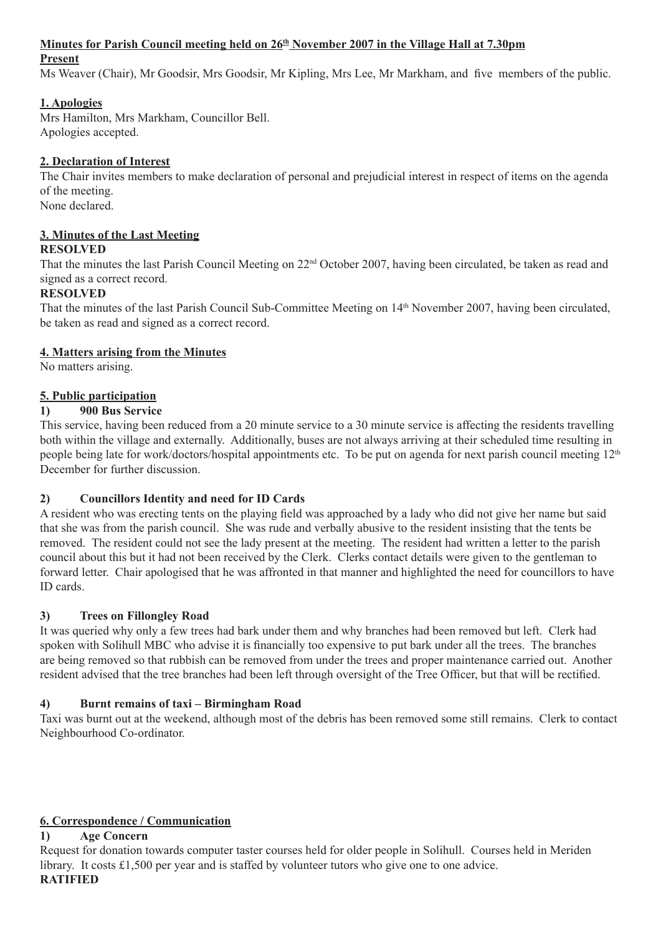#### **Minutes for Parish Council meeting held on 26th November 2007 in the Village Hall at 7.30pm**

#### **Present**

Ms Weaver (Chair), Mr Goodsir, Mrs Goodsir, Mr Kipling, Mrs Lee, Mr Markham, and five members of the public.

#### **1. Apologies**

Mrs Hamilton, Mrs Markham, Councillor Bell. Apologies accepted.

#### **2. Declaration of Interest**

The Chair invites members to make declaration of personal and prejudicial interest in respect of items on the agenda of the meeting.

None declared.

#### **3. Minutes of the Last Meeting RESOLVED**

That the minutes the last Parish Council Meeting on 22nd October 2007, having been circulated, be taken as read and signed as a correct record.

#### **RESOLVED**

That the minutes of the last Parish Council Sub-Committee Meeting on 14th November 2007, having been circulated, be taken as read and signed as a correct record.

#### **4. Matters arising from the Minutes**

No matters arising.

### **5. Public participation**

#### **1) 900 Bus Service**

This service, having been reduced from a 20 minute service to a 30 minute service is affecting the residents travelling both within the village and externally. Additionally, buses are not always arriving at their scheduled time resulting in people being late for work/doctors/hospital appointments etc. To be put on agenda for next parish council meeting 12<sup>th</sup> December for further discussion.

### **2) Councillors Identity and need for ID Cards**

A resident who was erecting tents on the playing field was approached by a lady who did not give her name but said that she was from the parish council. She was rude and verbally abusive to the resident insisting that the tents be removed. The resident could not see the lady present at the meeting. The resident had written a letter to the parish council about this but it had not been received by the Clerk. Clerks contact details were given to the gentleman to forward letter. Chair apologised that he was affronted in that manner and highlighted the need for councillors to have ID cards.

### **3) Trees on Fillongley Road**

It was queried why only a few trees had bark under them and why branches had been removed but left. Clerk had spoken with Solihull MBC who advise it is financially too expensive to put bark under all the trees. The branches are being removed so that rubbish can be removed from under the trees and proper maintenance carried out. Another resident advised that the tree branches had been left through oversight of the Tree Officer, but that will be rectified.

### **4) Burnt remains of taxi – Birmingham Road**

Taxi was burnt out at the weekend, although most of the debris has been removed some still remains. Clerk to contact Neighbourhood Co-ordinator.

### **6. Correspondence / Communication**

### **1) Age Concern**

Request for donation towards computer taster courses held for older people in Solihull. Courses held in Meriden library. It costs £1,500 per year and is staffed by volunteer tutors who give one to one advice. **RATIFIED**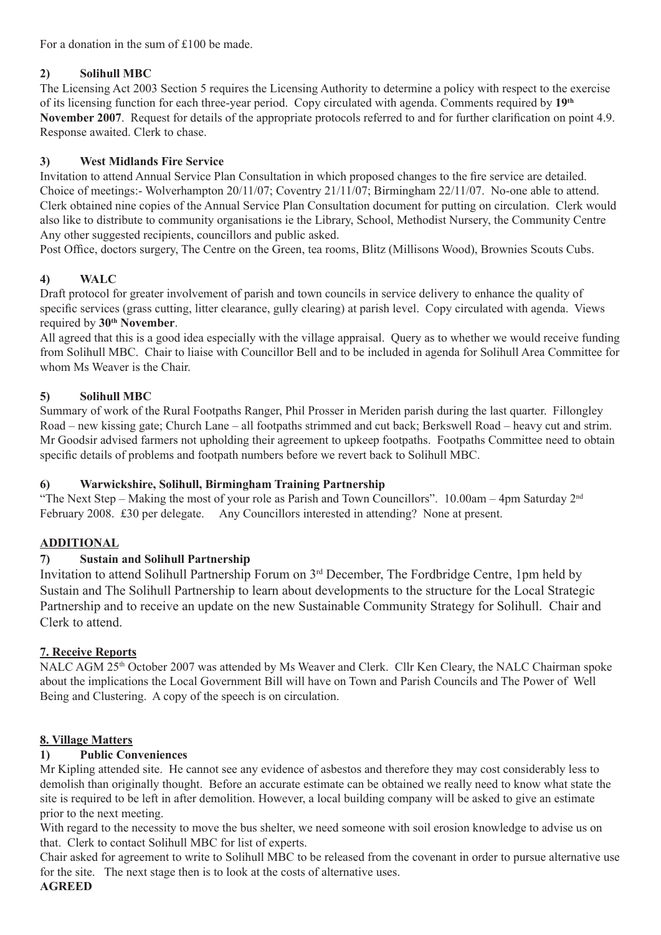For a donation in the sum of £100 be made.

### **2) Solihull MBC**

The Licensing Act 2003 Section 5 requires the Licensing Authority to determine a policy with respect to the exercise of its licensing function for each three-year period. Copy circulated with agenda. Comments required by **19th November 2007**. Request for details of the appropriate protocols referred to and for further clarification on point 4.9. Response awaited. Clerk to chase.

## **3) West Midlands Fire Service**

Invitation to attend Annual Service Plan Consultation in which proposed changes to the fire service are detailed. Choice of meetings:- Wolverhampton 20/11/07; Coventry 21/11/07; Birmingham 22/11/07. No-one able to attend. Clerk obtained nine copies of the Annual Service Plan Consultation document for putting on circulation. Clerk would also like to distribute to community organisations ie the Library, School, Methodist Nursery, the Community Centre Any other suggested recipients, councillors and public asked.

Post Office, doctors surgery, The Centre on the Green, tea rooms, Blitz (Millisons Wood), Brownies Scouts Cubs.

## **4) WALC**

Draft protocol for greater involvement of parish and town councils in service delivery to enhance the quality of specific services (grass cutting, litter clearance, gully clearing) at parish level. Copy circulated with agenda. Views required by **30th November**.

All agreed that this is a good idea especially with the village appraisal. Query as to whether we would receive funding from Solihull MBC. Chair to liaise with Councillor Bell and to be included in agenda for Solihull Area Committee for whom Ms Weaver is the Chair.

## **5) Solihull MBC**

Summary of work of the Rural Footpaths Ranger, Phil Prosser in Meriden parish during the last quarter. Fillongley Road – new kissing gate; Church Lane – all footpaths strimmed and cut back; Berkswell Road – heavy cut and strim. Mr Goodsir advised farmers not upholding their agreement to upkeep footpaths. Footpaths Committee need to obtain specific details of problems and footpath numbers before we revert back to Solihull MBC.

### **6) Warwickshire, Solihull, Birmingham Training Partnership**

"The Next Step – Making the most of your role as Parish and Town Councillors". 10.00am – 4pm Saturday 2nd February 2008. £30 per delegate. Any Councillors interested in attending? None at present.

## **ADDITIONAL**

### **7) Sustain and Solihull Partnership**

Invitation to attend Solihull Partnership Forum on 3rd December, The Fordbridge Centre, 1pm held by Sustain and The Solihull Partnership to learn about developments to the structure for the Local Strategic Partnership and to receive an update on the new Sustainable Community Strategy for Solihull. Chair and Clerk to attend.

### **7. Receive Reports**

NALC AGM 25th October 2007 was attended by Ms Weaver and Clerk. Cllr Ken Cleary, the NALC Chairman spoke about the implications the Local Government Bill will have on Town and Parish Councils and The Power of Well Being and Clustering. A copy of the speech is on circulation.

### **8. Village Matters**

### **1) Public Conveniences**

Mr Kipling attended site. He cannot see any evidence of asbestos and therefore they may cost considerably less to demolish than originally thought. Before an accurate estimate can be obtained we really need to know what state the site is required to be left in after demolition. However, a local building company will be asked to give an estimate prior to the next meeting.

With regard to the necessity to move the bus shelter, we need someone with soil erosion knowledge to advise us on that. Clerk to contact Solihull MBC for list of experts.

Chair asked for agreement to write to Solihull MBC to be released from the covenant in order to pursue alternative use for the site. The next stage then is to look at the costs of alternative uses.

#### **AGREED**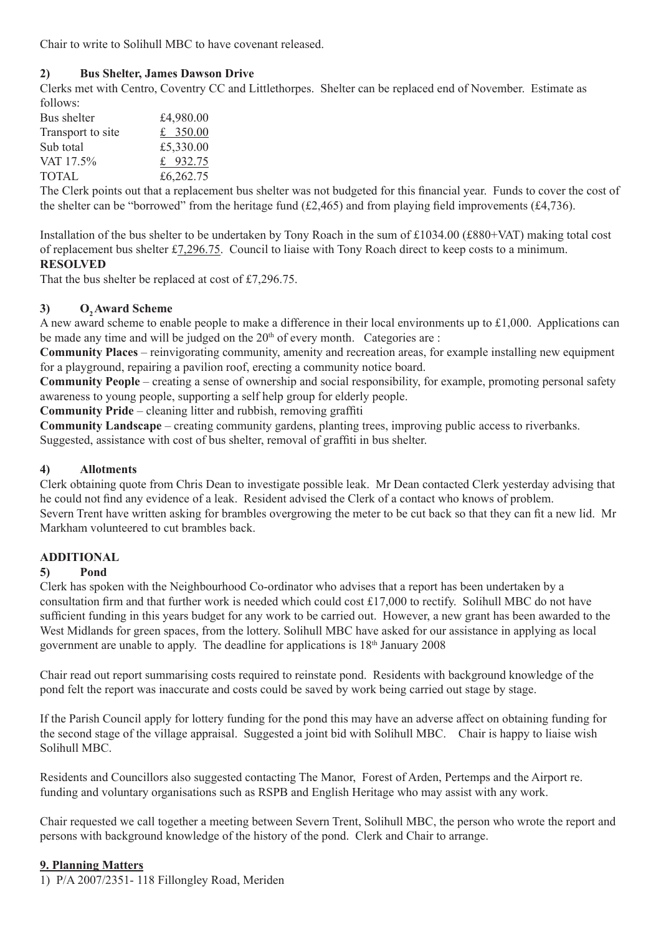Chair to write to Solihull MBC to have covenant released.

#### **2) Bus Shelter, James Dawson Drive**

Clerks met with Centro, Coventry CC and Littlethorpes. Shelter can be replaced end of November. Estimate as follows:

| Bus shelter       | £4,980.00  |
|-------------------|------------|
| Transport to site | £ 350.00   |
| Sub total         | £5,330.00  |
| VAT 17.5%         | £ $932.75$ |
| <b>TOTAL</b>      | £6,262.75  |

The Clerk points out that a replacement bus shelter was not budgeted for this financial year. Funds to cover the cost of the shelter can be "borrowed" from the heritage fund (£2,465) and from playing field improvements (£4,736).

Installation of the bus shelter to be undertaken by Tony Roach in the sum of £1034.00 (£880+VAT) making total cost of replacement bus shelter £7,296.75. Council to liaise with Tony Roach direct to keep costs to a minimum. **RESOLVED**

That the bus shelter be replaced at cost of £7,296.75.

#### 3) **O<sub>2</sub> Award Scheme**

A new award scheme to enable people to make a difference in their local environments up to £1,000. Applications can be made any time and will be judged on the  $20<sup>th</sup>$  of every month. Categories are :

**Community Places** – reinvigorating community, amenity and recreation areas, for example installing new equipment for a playground, repairing a pavilion roof, erecting a community notice board.

**Community People** – creating a sense of ownership and social responsibility, for example, promoting personal safety awareness to young people, supporting a self help group for elderly people.

**Community Pride** – cleaning litter and rubbish, removing graffiti

**Community Landscape** – creating community gardens, planting trees, improving public access to riverbanks. Suggested, assistance with cost of bus shelter, removal of graffiti in bus shelter.

#### **4) Allotments**

Clerk obtaining quote from Chris Dean to investigate possible leak. Mr Dean contacted Clerk yesterday advising that he could not find any evidence of a leak. Resident advised the Clerk of a contact who knows of problem. Severn Trent have written asking for brambles overgrowing the meter to be cut back so that they can fit a new lid. Mr Markham volunteered to cut brambles back.

#### **ADDITIONAL**

#### **5) Pond**

Clerk has spoken with the Neighbourhood Co-ordinator who advises that a report has been undertaken by a consultation firm and that further work is needed which could cost £17,000 to rectify. Solihull MBC do not have sufficient funding in this years budget for any work to be carried out. However, a new grant has been awarded to the West Midlands for green spaces, from the lottery. Solihull MBC have asked for our assistance in applying as local government are unable to apply. The deadline for applications is 18th January 2008

Chair read out report summarising costs required to reinstate pond. Residents with background knowledge of the pond felt the report was inaccurate and costs could be saved by work being carried out stage by stage.

If the Parish Council apply for lottery funding for the pond this may have an adverse affect on obtaining funding for the second stage of the village appraisal. Suggested a joint bid with Solihull MBC. Chair is happy to liaise wish Solihull MBC.

Residents and Councillors also suggested contacting The Manor, Forest of Arden, Pertemps and the Airport re. funding and voluntary organisations such as RSPB and English Heritage who may assist with any work.

Chair requested we call together a meeting between Severn Trent, Solihull MBC, the person who wrote the report and persons with background knowledge of the history of the pond. Clerk and Chair to arrange.

#### **9. Planning Matters**

1) P/A 2007/2351- 118 Fillongley Road, Meriden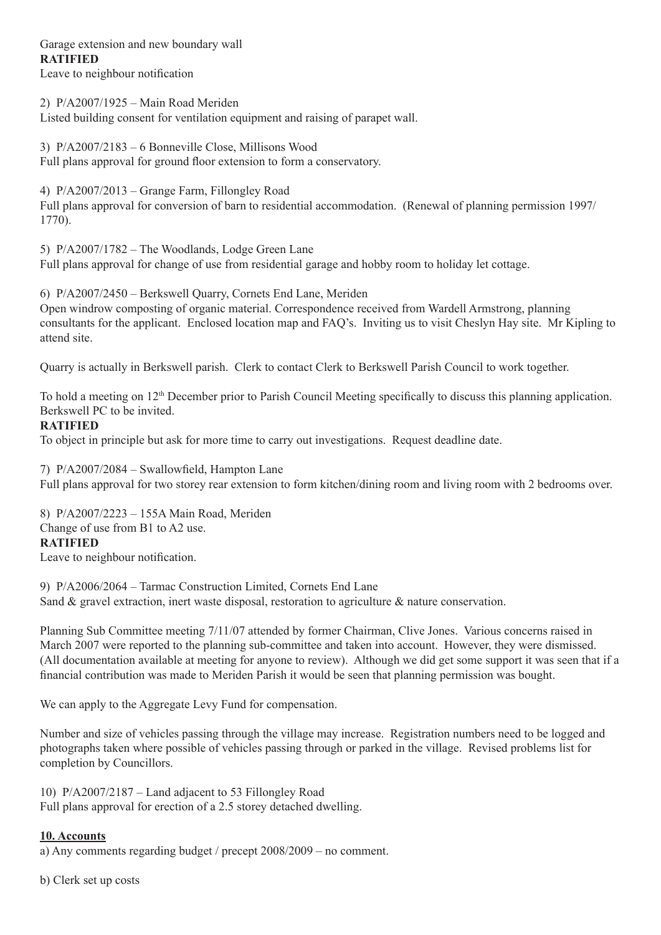# Garage extension and new boundary wall **RATIFIED**

Leave to neighbour notification

2) P/A2007/1925 – Main Road Meriden Listed building consent for ventilation equipment and raising of parapet wall.

3) P/A2007/2183 – 6 Bonneville Close, Millisons Wood Full plans approval for ground floor extension to form a conservatory.

4) P/A2007/2013 – Grange Farm, Fillongley Road Full plans approval for conversion of barn to residential accommodation. (Renewal of planning permission 1997/ 1770).

5) P/A2007/1782 – The Woodlands, Lodge Green Lane Full plans approval for change of use from residential garage and hobby room to holiday let cottage.

6) P/A2007/2450 – Berkswell Quarry, Cornets End Lane, Meriden Open windrow composting of organic material. Correspondence received from Wardell Armstrong, planning consultants for the applicant. Enclosed location map and FAQ's. Inviting us to visit Cheslyn Hay site. Mr Kipling to attend site.

Quarry is actually in Berkswell parish. Clerk to contact Clerk to Berkswell Parish Council to work together.

To hold a meeting on  $12<sup>th</sup>$  December prior to Parish Council Meeting specifically to discuss this planning application. Berkswell PC to be invited.

#### **RATIFIED**

To object in principle but ask for more time to carry out investigations. Request deadline date.

7) P/A2007/2084 – Swallowfield, Hampton Lane Full plans approval for two storey rear extension to form kitchen/dining room and living room with 2 bedrooms over.

8) P/A2007/2223 – 155A Main Road, Meriden Change of use from B1 to A2 use. **RATIFIED** Leave to neighbour notification.

9) P/A2006/2064 – Tarmac Construction Limited, Cornets End Lane Sand & gravel extraction, inert waste disposal, restoration to agriculture & nature conservation.

Planning Sub Committee meeting 7/11/07 attended by former Chairman, Clive Jones. Various concerns raised in March 2007 were reported to the planning sub-committee and taken into account. However, they were dismissed. (All documentation available at meeting for anyone to review). Although we did get some support it was seen that if a financial contribution was made to Meriden Parish it would be seen that planning permission was bought.

We can apply to the Aggregate Levy Fund for compensation.

Number and size of vehicles passing through the village may increase. Registration numbers need to be logged and photographs taken where possible of vehicles passing through or parked in the village. Revised problems list for completion by Councillors.

10) P/A2007/2187 – Land adjacent to 53 Fillongley Road Full plans approval for erection of a 2.5 storey detached dwelling.

#### **10. Accounts**

a) Any comments regarding budget / precept 2008/2009 – no comment.

b) Clerk set up costs